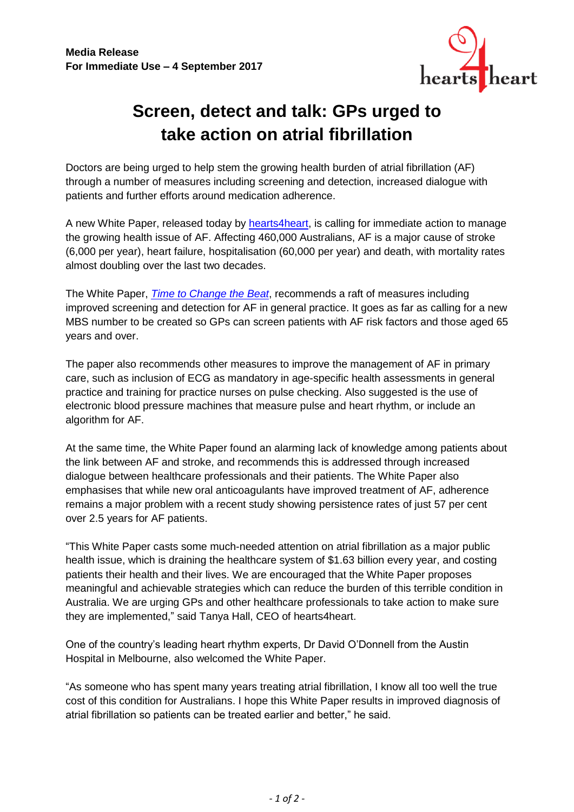

## **Screen, detect and talk: GPs urged to take action on atrial fibrillation**

Doctors are being urged to help stem the growing health burden of atrial fibrillation (AF) through a number of measures including screening and detection, increased dialogue with patients and further efforts around medication adherence.

A new White Paper, released today by [hearts4heart,](http://www.hearts4heart.org.au/) is calling for immediate action to manage the growing health issue of AF. Affecting 460,000 Australians, AF is a major cause of stroke (6,000 per year), heart failure, hospitalisation (60,000 per year) and death, with mortality rates almost doubling over the last two decades.

The White Paper, *[Time to Change the Beat](http://www.hearts4heart.org.au/wp-content/uploads/2017/08/Heart4heart-white-paper-WEB-RES.pdf)*, recommends a raft of measures including improved screening and detection for AF in general practice. It goes as far as calling for a new MBS number to be created so GPs can screen patients with AF risk factors and those aged 65 years and over.

The paper also recommends other measures to improve the management of AF in primary care, such as inclusion of ECG as mandatory in age-specific health assessments in general practice and training for practice nurses on pulse checking. Also suggested is the use of electronic blood pressure machines that measure pulse and heart rhythm, or include an algorithm for AF.

At the same time, the White Paper found an alarming lack of knowledge among patients about the link between AF and stroke, and recommends this is addressed through increased dialogue between healthcare professionals and their patients. The White Paper also emphasises that while new oral anticoagulants have improved treatment of AF, adherence remains a major problem with a recent study showing persistence rates of just 57 per cent over 2.5 years for AF patients.

"This White Paper casts some much-needed attention on atrial fibrillation as a major public health issue, which is draining the healthcare system of \$1.63 billion every year, and costing patients their health and their lives. We are encouraged that the White Paper proposes meaningful and achievable strategies which can reduce the burden of this terrible condition in Australia. We are urging GPs and other healthcare professionals to take action to make sure they are implemented," said Tanya Hall, CEO of hearts4heart.

One of the country's leading heart rhythm experts, Dr David O'Donnell from the Austin Hospital in Melbourne, also welcomed the White Paper.

"As someone who has spent many years treating atrial fibrillation, I know all too well the true cost of this condition for Australians. I hope this White Paper results in improved diagnosis of atrial fibrillation so patients can be treated earlier and better," he said.